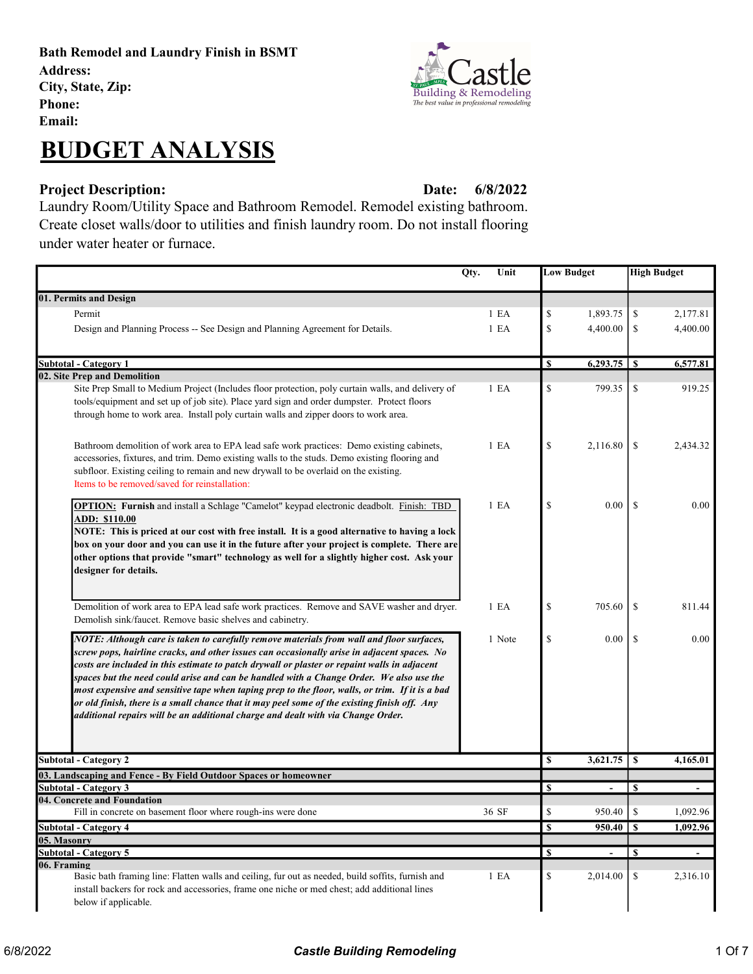Bath Remodel and Laundry Finish in BSMT Address: City, State, Zip: Phone: Email:



## Project Description: Date: Date:

6/8/2022

Laundry Room/Utility Space and Bathroom Remodel. Remodel existing bathroom. Create closet walls/door to utilities and finish laundry room. Do not install flooring under water heater or furnace.

|                                                                                                                                                                                                                                                                                                                                                                                                                                                                                                                                                                                                                                                                           | Unit<br>Qty. |              | <b>Low Budget</b>        |               | <b>High Budget</b> |
|---------------------------------------------------------------------------------------------------------------------------------------------------------------------------------------------------------------------------------------------------------------------------------------------------------------------------------------------------------------------------------------------------------------------------------------------------------------------------------------------------------------------------------------------------------------------------------------------------------------------------------------------------------------------------|--------------|--------------|--------------------------|---------------|--------------------|
| 01. Permits and Design                                                                                                                                                                                                                                                                                                                                                                                                                                                                                                                                                                                                                                                    |              |              |                          |               |                    |
| Permit                                                                                                                                                                                                                                                                                                                                                                                                                                                                                                                                                                                                                                                                    | 1 E A        | \$           | 1,893.75                 | \$            | 2,177.81           |
| Design and Planning Process -- See Design and Planning Agreement for Details.                                                                                                                                                                                                                                                                                                                                                                                                                                                                                                                                                                                             | 1 E A        | \$           | 4,400.00                 | \$            | 4,400.00           |
|                                                                                                                                                                                                                                                                                                                                                                                                                                                                                                                                                                                                                                                                           |              |              |                          |               |                    |
| <b>Subtotal - Category 1</b>                                                                                                                                                                                                                                                                                                                                                                                                                                                                                                                                                                                                                                              |              | S            |                          |               | 6,577.81           |
| 02. Site Prep and Demolition                                                                                                                                                                                                                                                                                                                                                                                                                                                                                                                                                                                                                                              |              |              |                          |               |                    |
| Site Prep Small to Medium Project (Includes floor protection, poly curtain walls, and delivery of<br>tools/equipment and set up of job site). Place yard sign and order dumpster. Protect floors<br>through home to work area. Install poly curtain walls and zipper doors to work area.                                                                                                                                                                                                                                                                                                                                                                                  | 1 E A        | \$           | 799.35                   | \$            | 919.25             |
| Bathroom demolition of work area to EPA lead safe work practices: Demo existing cabinets,<br>accessories, fixtures, and trim. Demo existing walls to the studs. Demo existing flooring and<br>subfloor. Existing ceiling to remain and new drywall to be overlaid on the existing.<br>Items to be removed/saved for reinstallation:                                                                                                                                                                                                                                                                                                                                       | 1 E A        | \$           | 2,116.80                 | \$            | 2,434.32           |
| <b>OPTION:</b> Furnish and install a Schlage "Camelot" keypad electronic deadbolt. Finish: TBD<br><b>ADD: \$110.00</b><br>NOTE: This is priced at our cost with free install. It is a good alternative to having a lock<br>box on your door and you can use it in the future after your project is complete. There are<br>other options that provide "smart" technology as well for a slightly higher cost. Ask your<br>designer for details.                                                                                                                                                                                                                             | 1 E A        | \$           | $0.00\,$                 | \$            | 0.00               |
| Demolition of work area to EPA lead safe work practices. Remove and SAVE washer and dryer.<br>Demolish sink/faucet. Remove basic shelves and cabinetry.                                                                                                                                                                                                                                                                                                                                                                                                                                                                                                                   | 1 E A        | \$           | 705.60                   | \$            | 811.44             |
| NOTE: Although care is taken to carefully remove materials from wall and floor surfaces,<br>screw pops, hairline cracks, and other issues can occasionally arise in adjacent spaces. No<br>costs are included in this estimate to patch drywall or plaster or repaint walls in adjacent<br>spaces but the need could arise and can be handled with a Change Order. We also use the<br>most expensive and sensitive tape when taping prep to the floor, walls, or trim. If it is a bad<br>or old finish, there is a small chance that it may peel some of the existing finish off. Any<br>additional repairs will be an additional charge and dealt with via Change Order. | 1 Note       | \$           | $0.00\,$                 | <sup>\$</sup> | 0.00               |
| <b>Subtotal - Category 2</b>                                                                                                                                                                                                                                                                                                                                                                                                                                                                                                                                                                                                                                              |              | \$           |                          |               | 4,165.01           |
| 03. Landscaping and Fence - By Field Outdoor Spaces or homeowner                                                                                                                                                                                                                                                                                                                                                                                                                                                                                                                                                                                                          |              |              |                          |               |                    |
| <b>Subtotal - Category 3</b>                                                                                                                                                                                                                                                                                                                                                                                                                                                                                                                                                                                                                                              |              | \$           |                          | S             |                    |
| 04. Concrete and Foundation                                                                                                                                                                                                                                                                                                                                                                                                                                                                                                                                                                                                                                               |              | \$           |                          | <sup>\$</sup> |                    |
| Fill in concrete on basement floor where rough-ins were done                                                                                                                                                                                                                                                                                                                                                                                                                                                                                                                                                                                                              | 36 SF        |              | 950.40                   |               | 1,092.96           |
| <b>Subtotal - Category 4</b><br>05. Masonry                                                                                                                                                                                                                                                                                                                                                                                                                                                                                                                                                                                                                               |              | \$           | $950.40$ \ \$            |               | 1,092.96           |
| <b>Subtotal - Category 5</b>                                                                                                                                                                                                                                                                                                                                                                                                                                                                                                                                                                                                                                              |              | $\mathbf{s}$ | $\overline{\phantom{a}}$ | \$            |                    |
| 06. Framing                                                                                                                                                                                                                                                                                                                                                                                                                                                                                                                                                                                                                                                               |              |              |                          |               |                    |
| Basic bath framing line: Flatten walls and ceiling, fur out as needed, build soffits, furnish and<br>install backers for rock and accessories, frame one niche or med chest; add additional lines<br>below if applicable.                                                                                                                                                                                                                                                                                                                                                                                                                                                 | 1 E A        | \$           | 2,014.00                 | \$            | 2,316.10           |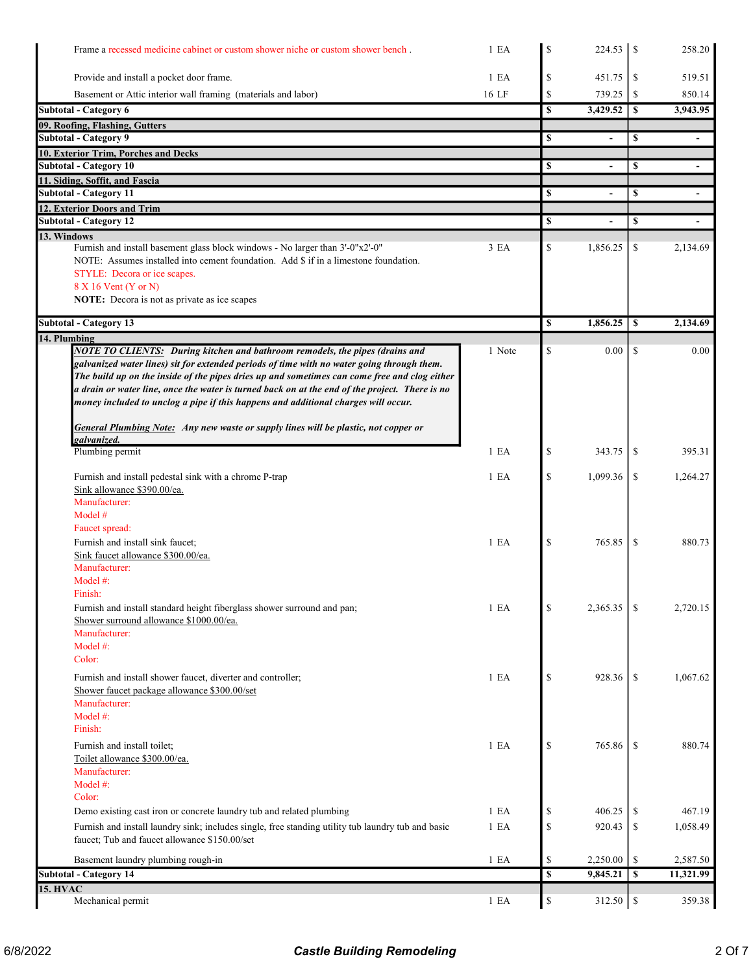| Frame a recessed medicine cabinet or custom shower niche or custom shower bench.                                                                                                                                                                                                                                                                                                                                                                                          | 1 E <sub>A</sub> | \$           | 224.53         | <sup>\$</sup> | 258.20                   |
|---------------------------------------------------------------------------------------------------------------------------------------------------------------------------------------------------------------------------------------------------------------------------------------------------------------------------------------------------------------------------------------------------------------------------------------------------------------------------|------------------|--------------|----------------|---------------|--------------------------|
| Provide and install a pocket door frame.                                                                                                                                                                                                                                                                                                                                                                                                                                  | 1 E <sub>A</sub> | \$           | 451.75         | \$            | 519.51                   |
| Basement or Attic interior wall framing (materials and labor)                                                                                                                                                                                                                                                                                                                                                                                                             | 16 LF            | \$           | 739.25         | \$            | 850.14                   |
| Subtotal - Category 6                                                                                                                                                                                                                                                                                                                                                                                                                                                     |                  | \$           | 3,429.52       | \$            | 3,943.95                 |
| 09. Roofing, Flashing, Gutters                                                                                                                                                                                                                                                                                                                                                                                                                                            |                  |              |                |               |                          |
| <b>Subtotal - Category 9</b>                                                                                                                                                                                                                                                                                                                                                                                                                                              |                  | \$           | $\overline{a}$ | \$            | $\overline{\phantom{a}}$ |
| 10. Exterior Trim, Porches and Decks                                                                                                                                                                                                                                                                                                                                                                                                                                      |                  |              |                |               |                          |
| <b>Subtotal - Category 10</b>                                                                                                                                                                                                                                                                                                                                                                                                                                             |                  | \$           |                | \$            |                          |
| 11. Siding, Soffit, and Fascia                                                                                                                                                                                                                                                                                                                                                                                                                                            |                  |              |                |               |                          |
| <b>Subtotal - Category 11</b>                                                                                                                                                                                                                                                                                                                                                                                                                                             |                  | \$           |                | $\mathbf S$   |                          |
| 12. Exterior Doors and Trim<br><b>Subtotal - Category 12</b>                                                                                                                                                                                                                                                                                                                                                                                                              |                  | \$           | $\blacksquare$ | \$            | $\blacksquare$           |
| 13. Windows                                                                                                                                                                                                                                                                                                                                                                                                                                                               |                  |              |                |               |                          |
| Furnish and install basement glass block windows - No larger than 3'-0"x2'-0"<br>NOTE: Assumes installed into cement foundation. Add \$ if in a limestone foundation.                                                                                                                                                                                                                                                                                                     | 3 EA             | \$           | 1,856.25       | \$            | 2,134.69                 |
| STYLE: Decora or ice scapes.<br>8 X 16 Vent (Y or N)                                                                                                                                                                                                                                                                                                                                                                                                                      |                  |              |                |               |                          |
| NOTE: Decora is not as private as ice scapes                                                                                                                                                                                                                                                                                                                                                                                                                              |                  |              |                |               |                          |
|                                                                                                                                                                                                                                                                                                                                                                                                                                                                           |                  |              |                |               |                          |
| <b>Subtotal - Category 13</b>                                                                                                                                                                                                                                                                                                                                                                                                                                             |                  | \$           | 1,856.25       | -S            | 2,134.69                 |
| 14. Plumbing                                                                                                                                                                                                                                                                                                                                                                                                                                                              |                  |              |                |               |                          |
| <b>NOTE TO CLIENTS:</b> During kitchen and bathroom remodels, the pipes (drains and<br>galvanized water lines) sit for extended periods of time with no water going through them.<br>The build up on the inside of the pipes dries up and sometimes can come free and clog either<br>a drain or water line, once the water is turned back on at the end of the project. There is no<br>money included to unclog a pipe if this happens and additional charges will occur. | 1 Note           | \$           | 0.00           | \$            | 0.00                     |
| <b>General Plumbing Note:</b> Any new waste or supply lines will be plastic, not copper or                                                                                                                                                                                                                                                                                                                                                                                |                  |              |                |               |                          |
| galvanized.                                                                                                                                                                                                                                                                                                                                                                                                                                                               |                  |              |                |               |                          |
| Plumbing permit                                                                                                                                                                                                                                                                                                                                                                                                                                                           | 1 E <sub>A</sub> | \$           | 343.75         | -S            | 395.31                   |
| Furnish and install pedestal sink with a chrome P-trap<br>Sink allowance \$390.00/ea.                                                                                                                                                                                                                                                                                                                                                                                     | 1 E <sub>A</sub> | $\mathbf S$  | 1,099.36       | <sup>\$</sup> | 1,264.27                 |
| Manufacturer:<br>Model #<br>Faucet spread:                                                                                                                                                                                                                                                                                                                                                                                                                                |                  |              |                |               |                          |
| Furnish and install sink faucet;<br>Sink faucet allowance \$300.00/ea.<br>Manufacturer:                                                                                                                                                                                                                                                                                                                                                                                   | 1 E <sub>A</sub> | \$           | 765.85         | <sup>\$</sup> | 880.73                   |
| Model $#$ :<br>Finish:<br>Furnish and install standard height fiberglass shower surround and pan;                                                                                                                                                                                                                                                                                                                                                                         | 1 E A            | $\mathbb{S}$ | 2,365.35       | -S            | 2,720.15                 |
| Shower surround allowance \$1000.00/ea.<br>Manufacturer:<br>Model #:<br>Color:                                                                                                                                                                                                                                                                                                                                                                                            |                  |              |                |               |                          |
| Furnish and install shower faucet, diverter and controller;<br>Shower faucet package allowance \$300.00/set<br>Manufacturer:                                                                                                                                                                                                                                                                                                                                              | 1 E A            | \$           | 928.36         | -S            | 1,067.62                 |
| Model #:<br>Finish:                                                                                                                                                                                                                                                                                                                                                                                                                                                       |                  |              |                |               |                          |
| Furnish and install toilet;<br>Toilet allowance \$300.00/ea.<br>Manufacturer:                                                                                                                                                                                                                                                                                                                                                                                             | 1 E A            | \$           | 765.86         | <sup>\$</sup> | 880.74                   |
| Model #:<br>Color:                                                                                                                                                                                                                                                                                                                                                                                                                                                        |                  |              |                |               |                          |
| Demo existing cast iron or concrete laundry tub and related plumbing                                                                                                                                                                                                                                                                                                                                                                                                      | 1 E A            | \$           | 406.25         | \$            | 467.19                   |
| Furnish and install laundry sink; includes single, free standing utility tub laundry tub and basic<br>faucet; Tub and faucet allowance \$150.00/set                                                                                                                                                                                                                                                                                                                       | 1 E A            | $\mathbb{S}$ | 920.43         | \$            | 1,058.49                 |
| Basement laundry plumbing rough-in                                                                                                                                                                                                                                                                                                                                                                                                                                        | 1 E A            | \$           | 2,250.00       | \$            | 2,587.50                 |
| <b>Subtotal - Category 14</b>                                                                                                                                                                                                                                                                                                                                                                                                                                             |                  | \$           | 9,845.21       | \$            | 11,321.99                |
| <b>15. HVAC</b>                                                                                                                                                                                                                                                                                                                                                                                                                                                           |                  |              |                |               |                          |
| Mechanical permit                                                                                                                                                                                                                                                                                                                                                                                                                                                         | 1 E A            | $\mathbb S$  | 312.50         | \$            | 359.38                   |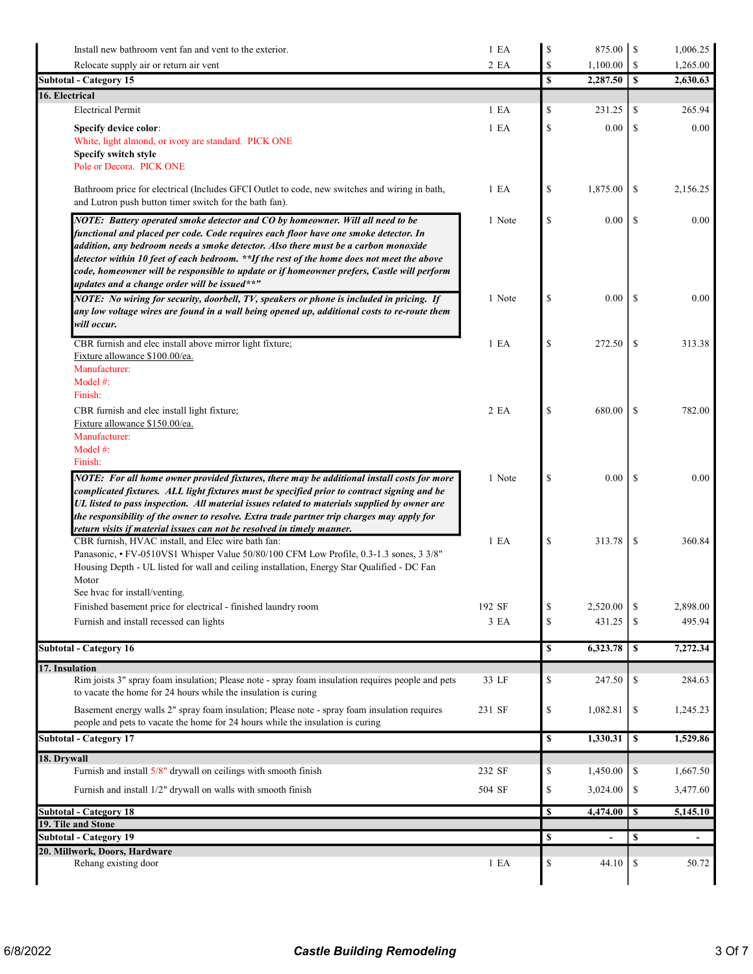| Install new bathroom vent fan and vent to the exterior.                                                                                                                                                                                                                                                                                                                                                                                                                                                  | 1 E A            | $\mathbb{S}$                      |          |               | 1,006.25 |
|----------------------------------------------------------------------------------------------------------------------------------------------------------------------------------------------------------------------------------------------------------------------------------------------------------------------------------------------------------------------------------------------------------------------------------------------------------------------------------------------------------|------------------|-----------------------------------|----------|---------------|----------|
| Relocate supply air or return air vent                                                                                                                                                                                                                                                                                                                                                                                                                                                                   | 2 EA             | \$                                | 1,100.00 | S             | 1,265.00 |
| <b>Subtotal - Category 15</b>                                                                                                                                                                                                                                                                                                                                                                                                                                                                            |                  | \$                                | 2,287.50 | S             | 2,630.63 |
| 16. Electrical                                                                                                                                                                                                                                                                                                                                                                                                                                                                                           |                  |                                   |          |               |          |
| <b>Electrical Permit</b>                                                                                                                                                                                                                                                                                                                                                                                                                                                                                 | 1 E <sub>A</sub> | \$                                | 231.25   | \$            | 265.94   |
| Specify device color:                                                                                                                                                                                                                                                                                                                                                                                                                                                                                    | 1 E A            | \$                                | 0.00     | \$            | 0.00     |
| White, light almond, or ivory are standard. PICK ONE                                                                                                                                                                                                                                                                                                                                                                                                                                                     |                  |                                   |          |               |          |
| Specify switch style<br>Pole or Decora. PICK ONE                                                                                                                                                                                                                                                                                                                                                                                                                                                         |                  |                                   |          |               |          |
|                                                                                                                                                                                                                                                                                                                                                                                                                                                                                                          |                  |                                   |          |               |          |
| Bathroom price for electrical (Includes GFCI Outlet to code, new switches and wiring in bath,<br>and Lutron push button timer switch for the bath fan).                                                                                                                                                                                                                                                                                                                                                  | 1 E A            | \$                                | 1,875.00 | \$            | 2,156.25 |
| NOTE: Battery operated smoke detector and CO by homeowner. Will all need to be<br>functional and placed per code. Code requires each floor have one smoke detector. In<br>addition, any bedroom needs a smoke detector. Also there must be a carbon monoxide<br>detector within 10 feet of each bedroom. **If the rest of the home does not meet the above<br>code, homeowner will be responsible to update or if homeowner prefers, Castle will perform<br>updates and a change order will be issued**" | 1 Note           | \$                                | 0.00     | <sup>\$</sup> | 0.00     |
| NOTE: No wiring for security, doorbell, TV, speakers or phone is included in pricing. If<br>any low voltage wires are found in a wall being opened up, additional costs to re-route them<br>will occur.                                                                                                                                                                                                                                                                                                  | 1 Note           | \$                                | $0.00\,$ | <sup>\$</sup> | 0.00     |
| CBR furnish and elec install above mirror light fixture;<br>Fixture allowance \$100.00/ea.<br>Manufacturer:<br>Model #:<br>Finish:                                                                                                                                                                                                                                                                                                                                                                       | 1 E A            | \$                                | 272.50   | \$            | 313.38   |
| CBR furnish and elec install light fixture;<br>Fixture allowance \$150.00/ea.<br>Manufacturer:<br>Model #:<br>Finish:                                                                                                                                                                                                                                                                                                                                                                                    | 2 EA             | \$                                | 680.00   | \$            | 782.00   |
| NOTE: For all home owner provided fixtures, there may be additional install costs for more<br>complicated fixtures. ALL light fixtures must be specified prior to contract signing and be<br>UL listed to pass inspection. All material issues related to materials supplied by owner are<br>the responsibility of the owner to resolve. Extra trade partner trip charges may apply for<br>return visits if material issues can not be resolved in timely manner.                                        | 1 Note           | \$                                | $0.00\,$ | -S            | 0.00     |
| CBR furnish, HVAC install, and Elec wire bath fan:<br>Panasonic, • FV-0510VS1 Whisper Value 50/80/100 CFM Low Profile, 0.3-1.3 sones, 3 3/8"<br>Housing Depth - UL listed for wall and ceiling installation, Energy Star Qualified - DC Fan<br>Motor<br>See hvac for install/venting.                                                                                                                                                                                                                    | 1 E <sub>A</sub> | \$                                | 313.78   | \$            | 360.84   |
| Finished basement price for electrical - finished laundry room                                                                                                                                                                                                                                                                                                                                                                                                                                           | 192 SF           | \$                                | 2,520.00 | <sup>\$</sup> | 2,898.00 |
| Furnish and install recessed can lights                                                                                                                                                                                                                                                                                                                                                                                                                                                                  | 3 EA             | $\mathbb{S}% _{t}\left( t\right)$ | 431.25   | \$            | 495.94   |
|                                                                                                                                                                                                                                                                                                                                                                                                                                                                                                          |                  |                                   |          |               |          |
| <b>Subtotal - Category 16</b>                                                                                                                                                                                                                                                                                                                                                                                                                                                                            |                  | \$                                | 6,323.78 | \$            | 7,272.34 |
| 17. Insulation                                                                                                                                                                                                                                                                                                                                                                                                                                                                                           |                  |                                   |          |               |          |
| Rim joists 3" spray foam insulation; Please note - spray foam insulation requires people and pets<br>to vacate the home for 24 hours while the insulation is curing                                                                                                                                                                                                                                                                                                                                      | 33 LF            | \$                                | 247.50   | \$            | 284.63   |
| Basement energy walls 2" spray foam insulation; Please note - spray foam insulation requires<br>people and pets to vacate the home for 24 hours while the insulation is curing                                                                                                                                                                                                                                                                                                                           | 231 SF           | \$                                | 1,082.81 | \$            | 1,245.23 |
| <b>Subtotal - Category 17</b>                                                                                                                                                                                                                                                                                                                                                                                                                                                                            |                  | \$                                | 1,330.31 | \$            | 1,529.86 |
| 18. Drywall                                                                                                                                                                                                                                                                                                                                                                                                                                                                                              |                  |                                   |          |               |          |
| Furnish and install 5/8" drywall on ceilings with smooth finish                                                                                                                                                                                                                                                                                                                                                                                                                                          | 232 SF           | \$                                | 1,450.00 | \$            | 1,667.50 |
| Furnish and install 1/2" drywall on walls with smooth finish                                                                                                                                                                                                                                                                                                                                                                                                                                             | 504 SF           | \$                                | 3,024.00 | \$            | 3,477.60 |
| <b>Subtotal - Category 18</b>                                                                                                                                                                                                                                                                                                                                                                                                                                                                            |                  | \$                                | 4,474.00 | $\mathbf{s}$  | 5,145.10 |
| 19. Tile and Stone<br><b>Subtotal - Category 19</b>                                                                                                                                                                                                                                                                                                                                                                                                                                                      |                  | \$                                |          | \$            |          |
| 20. Millwork, Doors, Hardware                                                                                                                                                                                                                                                                                                                                                                                                                                                                            |                  |                                   |          |               |          |
| Rehang existing door                                                                                                                                                                                                                                                                                                                                                                                                                                                                                     | 1 E A            | \$                                | 44.10    | \$            | 50.72    |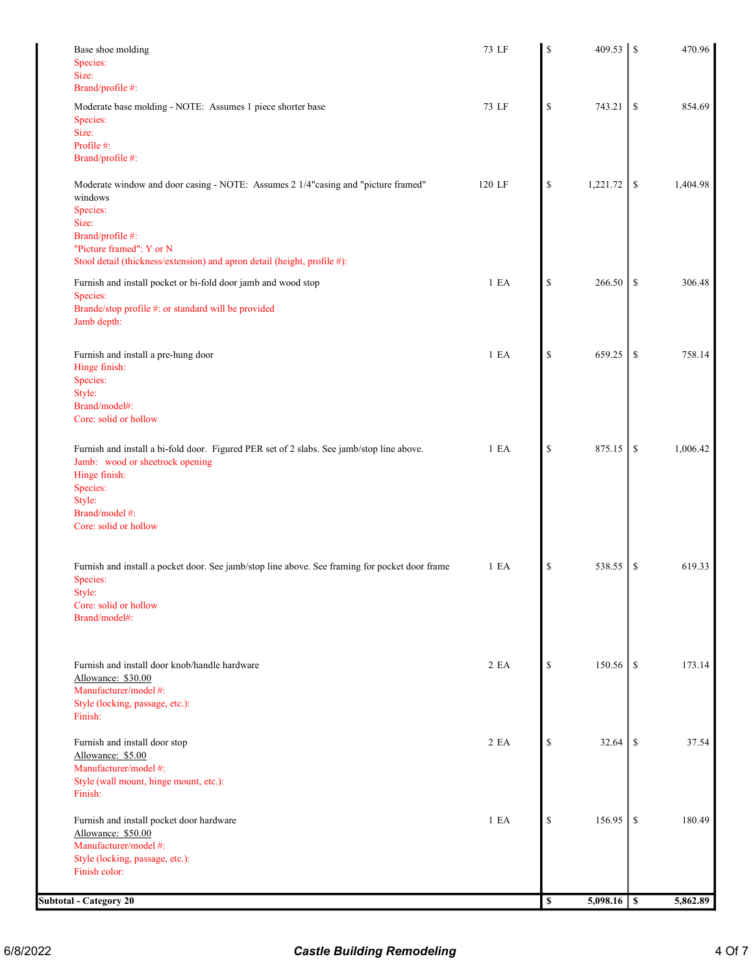| <b>Subtotal - Category 20</b>                                                                                        |        | $\mathbb S$  | 5,098.16 | $\overline{\mathbf{s}}$ | 5,862.89 |
|----------------------------------------------------------------------------------------------------------------------|--------|--------------|----------|-------------------------|----------|
| Style (locking, passage, etc.):<br>Finish color:                                                                     |        |              |          |                         |          |
| Furnish and install pocket door hardware<br>Allowance: \$50.00<br>Manufacturer/model #:                              | 1 E A  | \$           | 156.95   | \$                      | 180.49   |
| Finish:                                                                                                              |        |              |          |                         |          |
| Manufacturer/model #:<br>Style (wall mount, hinge mount, etc.):                                                      |        |              |          |                         |          |
| Allowance: \$5.00                                                                                                    |        |              |          |                         |          |
| Furnish and install door stop                                                                                        | 2 EA   | \$           | 32.64    | <sup>\$</sup>           | 37.54    |
| Style (locking, passage, etc.):<br>Finish:                                                                           |        |              |          |                         |          |
| Allowance: \$30.00<br>Manufacturer/model #:                                                                          |        |              |          |                         |          |
| Furnish and install door knob/handle hardware                                                                        | 2 EA   | \$           | 150.56   | <sup>\$</sup>           | 173.14   |
| Brand/model#:                                                                                                        |        |              |          |                         |          |
| Core: solid or hollow                                                                                                |        |              |          |                         |          |
| Furnish and install a pocket door. See jamb/stop line above. See framing for pocket door frame<br>Species:<br>Style: | 1 E A  | \$           | 538.55   | \$                      | 619.33   |
|                                                                                                                      |        |              |          |                         |          |
| Core: solid or hollow                                                                                                |        |              |          |                         |          |
| Style:<br>Brand/model #:                                                                                             |        |              |          |                         |          |
| Species:                                                                                                             |        |              |          |                         |          |
| Jamb: wood or sheetrock opening<br>Hinge finish:                                                                     |        |              |          |                         |          |
| Furnish and install a bi-fold door. Figured PER set of 2 slabs. See jamb/stop line above.                            | 1 E A  | \$           | 875.15   | \$                      | 1,006.42 |
| Core: solid or hollow                                                                                                |        |              |          |                         |          |
| Style:<br>Brand/model#:                                                                                              |        |              |          |                         |          |
| Species:                                                                                                             |        |              |          |                         |          |
| Furnish and install a pre-hung door<br>Hinge finish:                                                                 | 1 EA   | $\mathbb{S}$ | 659.25   | \$                      | 758.14   |
|                                                                                                                      |        |              |          |                         |          |
| Brande/stop profile #: or standard will be provided<br>Jamb depth:                                                   |        |              |          |                         |          |
| Furnish and install pocket or bi-fold door jamb and wood stop<br>Species:                                            | 1 E A  | \$           | 266.50   | \$                      | 306.48   |
| Stool detail (thickness/extension) and apron detail (height, profile #):                                             |        |              |          |                         |          |
| "Picture framed": Y or N                                                                                             |        |              |          |                         |          |
| Size:<br>Brand/profile #:                                                                                            |        |              |          |                         |          |
| Species:                                                                                                             |        |              |          |                         |          |
| Moderate window and door casing - NOTE: Assumes 2 1/4"casing and "picture framed"<br>windows                         | 120 LF | \$           | 1,221.72 | \$                      | 1,404.98 |
| Brand/profile #:                                                                                                     |        |              |          |                         |          |
| Profile #:                                                                                                           |        |              |          |                         |          |
| Species:<br>Size:                                                                                                    |        |              |          |                         |          |
| Moderate base molding - NOTE: Assumes 1 piece shorter base                                                           | 73 LF  | \$           | 743.21   | \$                      | 854.69   |
| Size:<br>Brand/profile #:                                                                                            |        |              |          |                         |          |
| Species:                                                                                                             |        |              |          |                         |          |
| Base shoe molding                                                                                                    | 73 LF  | S            | 409.53   | <sup>\$</sup>           | 470.96   |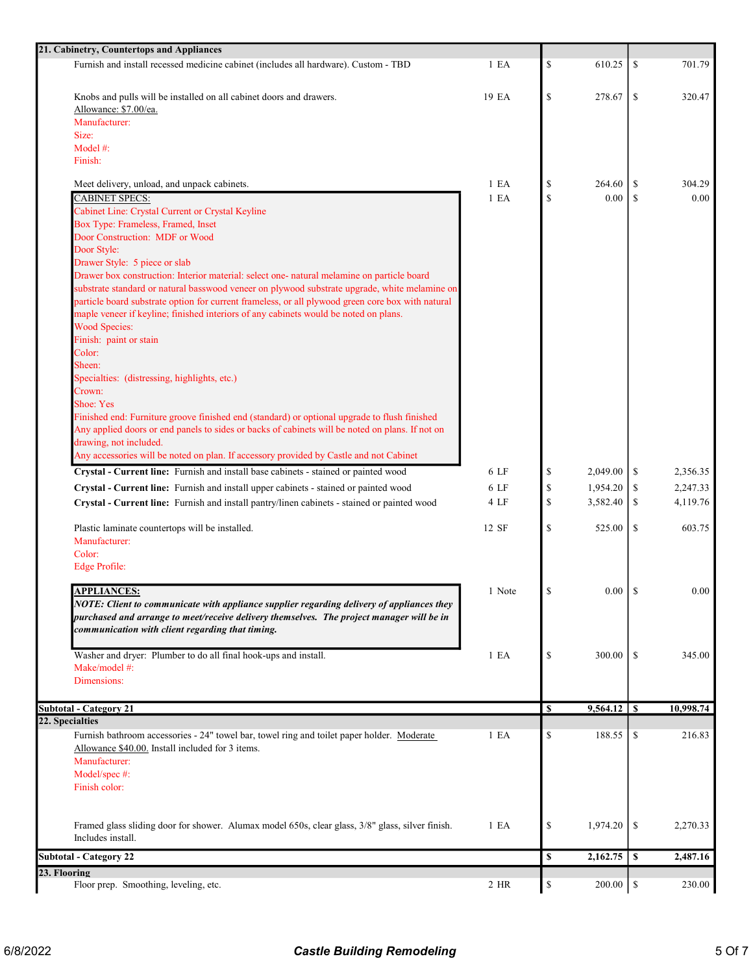| 21. Cabinetry, Countertops and Appliances                                                                                                                                                   |                  |                                                                       |             |               |           |
|---------------------------------------------------------------------------------------------------------------------------------------------------------------------------------------------|------------------|-----------------------------------------------------------------------|-------------|---------------|-----------|
| Furnish and install recessed medicine cabinet (includes all hardware). Custom - TBD                                                                                                         | 1 E A            | \$                                                                    | 610.25      | \$            | 701.79    |
| Knobs and pulls will be installed on all cabinet doors and drawers.                                                                                                                         | 19 EA            | $\mathbb{S}$                                                          | 278.67      | -S            | 320.47    |
| Allowance: \$7.00/ea.                                                                                                                                                                       |                  |                                                                       |             |               |           |
| Manufacturer:                                                                                                                                                                               |                  |                                                                       |             |               |           |
| Size:                                                                                                                                                                                       |                  |                                                                       |             |               |           |
| Model #:                                                                                                                                                                                    |                  |                                                                       |             |               |           |
| Finish:                                                                                                                                                                                     |                  |                                                                       |             |               |           |
| Meet delivery, unload, and unpack cabinets.                                                                                                                                                 | 1 E A            | \$                                                                    | 264.60      | \$            | 304.29    |
| <b>CABINET SPECS:</b>                                                                                                                                                                       | 1 E <sub>A</sub> | $\mathbb{S}$                                                          | 0.00        | \$            | 0.00      |
| Cabinet Line: Crystal Current or Crystal Keyline                                                                                                                                            |                  |                                                                       |             |               |           |
| Box Type: Frameless, Framed, Inset                                                                                                                                                          |                  |                                                                       |             |               |           |
| Door Construction: MDF or Wood                                                                                                                                                              |                  |                                                                       |             |               |           |
| Door Style:                                                                                                                                                                                 |                  |                                                                       |             |               |           |
| Drawer Style: 5 piece or slab                                                                                                                                                               |                  |                                                                       |             |               |           |
| Drawer box construction: Interior material: select one- natural melamine on particle board<br>substrate standard or natural basswood veneer on plywood substrate upgrade, white melamine on |                  |                                                                       |             |               |           |
| particle board substrate option for current frameless, or all plywood green core box with natural                                                                                           |                  |                                                                       |             |               |           |
| maple veneer if keyline; finished interiors of any cabinets would be noted on plans.                                                                                                        |                  |                                                                       |             |               |           |
| <b>Wood Species:</b>                                                                                                                                                                        |                  |                                                                       |             |               |           |
| Finish: paint or stain                                                                                                                                                                      |                  |                                                                       |             |               |           |
| Color:                                                                                                                                                                                      |                  |                                                                       |             |               |           |
| Sheen:                                                                                                                                                                                      |                  |                                                                       |             |               |           |
| Specialties: (distressing, highlights, etc.)                                                                                                                                                |                  |                                                                       |             |               |           |
| Crown:                                                                                                                                                                                      |                  |                                                                       |             |               |           |
| Shoe: Yes                                                                                                                                                                                   |                  |                                                                       |             |               |           |
| Finished end: Furniture groove finished end (standard) or optional upgrade to flush finished                                                                                                |                  |                                                                       |             |               |           |
| Any applied doors or end panels to sides or backs of cabinets will be noted on plans. If not on                                                                                             |                  |                                                                       |             |               |           |
| drawing, not included.                                                                                                                                                                      |                  |                                                                       |             |               |           |
| Any accessories will be noted on plan. If accessory provided by Castle and not Cabinet                                                                                                      |                  |                                                                       |             |               |           |
| Crystal - Current line: Furnish and install base cabinets - stained or painted wood                                                                                                         | 6 LF             | \$                                                                    | 2,049.00    | \$            | 2,356.35  |
| Crystal - Current line: Furnish and install upper cabinets - stained or painted wood                                                                                                        | 6 LF             | $\mathbb{S}% _{t}\left( t\right) \equiv\mathbb{S}_{t}\left( t\right)$ | 1,954.20    | \$            | 2,247.33  |
| Crystal - Current line: Furnish and install pantry/linen cabinets - stained or painted wood                                                                                                 | 4 LF             | \$                                                                    | 3,582.40    | \$            | 4,119.76  |
|                                                                                                                                                                                             |                  |                                                                       |             |               |           |
| Plastic laminate countertops will be installed.                                                                                                                                             | 12 SF            | $\mathbb{S}$                                                          | 525.00      | \$            | 603.75    |
| Manufacturer:                                                                                                                                                                               |                  |                                                                       |             |               |           |
| Color:                                                                                                                                                                                      |                  |                                                                       |             |               |           |
| <b>Edge Profile:</b>                                                                                                                                                                        |                  |                                                                       |             |               |           |
| <b>APPLIANCES:</b>                                                                                                                                                                          | 1 Note           | S                                                                     | $0.00$   \$ |               | 0.00      |
| NOTE: Client to communicate with appliance supplier regarding delivery of appliances they                                                                                                   |                  |                                                                       |             |               |           |
| purchased and arrange to meet/receive delivery themselves. The project manager will be in                                                                                                   |                  |                                                                       |             |               |           |
| communication with client regarding that timing.                                                                                                                                            |                  |                                                                       |             |               |           |
|                                                                                                                                                                                             |                  |                                                                       |             |               |           |
| Washer and dryer: Plumber to do all final hook-ups and install.                                                                                                                             | 1 E A            | \$                                                                    | 300.00      | <sup>\$</sup> | 345.00    |
| Make/model #:                                                                                                                                                                               |                  |                                                                       |             |               |           |
| Dimensions:                                                                                                                                                                                 |                  |                                                                       |             |               |           |
|                                                                                                                                                                                             |                  |                                                                       |             |               |           |
| <b>Subtotal - Category 21</b>                                                                                                                                                               |                  | \$                                                                    | 9,564.12    | l s           | 10,998.74 |
| 22. Specialties                                                                                                                                                                             |                  |                                                                       |             |               |           |
| Furnish bathroom accessories - 24" towel bar, towel ring and toilet paper holder. Moderate                                                                                                  | 1 E A            | \$                                                                    | 188.55      | \$            | 216.83    |
| Allowance \$40.00. Install included for 3 items.                                                                                                                                            |                  |                                                                       |             |               |           |
| Manufacturer:                                                                                                                                                                               |                  |                                                                       |             |               |           |
| Model/spec #:<br>Finish color:                                                                                                                                                              |                  |                                                                       |             |               |           |
|                                                                                                                                                                                             |                  |                                                                       |             |               |           |
|                                                                                                                                                                                             |                  |                                                                       |             |               |           |
| Framed glass sliding door for shower. Alumax model 650s, clear glass, 3/8" glass, silver finish.                                                                                            | 1 E A            | \$                                                                    | 1,974.20    | \$            | 2,270.33  |
| Includes install.                                                                                                                                                                           |                  |                                                                       |             |               |           |
| <b>Subtotal - Category 22</b>                                                                                                                                                               |                  | \$                                                                    | 2,162.75    | \$            | 2,487.16  |
| 23. Flooring                                                                                                                                                                                |                  |                                                                       |             |               |           |
| Floor prep. Smoothing, leveling, etc.                                                                                                                                                       | 2 HR             | $\mathbb{S}% _{t}\left( t\right)$                                     | 200.00      | $\mathbb{S}$  | 230.00    |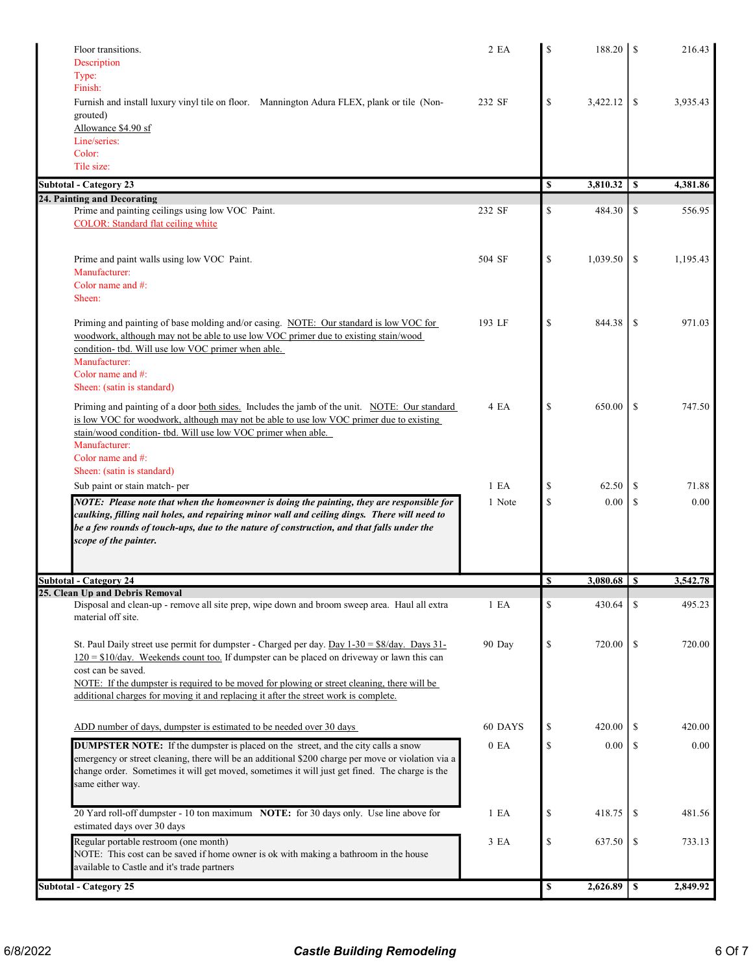| Floor transitions.                                                                                                                                                                      | 2EA              | \$           | 188.20          | \$.           | 216.43   |
|-----------------------------------------------------------------------------------------------------------------------------------------------------------------------------------------|------------------|--------------|-----------------|---------------|----------|
| Description<br>Type:                                                                                                                                                                    |                  |              |                 |               |          |
| Finish:                                                                                                                                                                                 |                  |              |                 |               |          |
| Furnish and install luxury vinyl tile on floor. Mannington Adura FLEX, plank or tile (Non-                                                                                              | 232 SF           | \$           | 3,422.12        | \$            | 3,935.43 |
| grouted)                                                                                                                                                                                |                  |              |                 |               |          |
| Allowance \$4.90 sf<br>Line/series:                                                                                                                                                     |                  |              |                 |               |          |
| Color:                                                                                                                                                                                  |                  |              |                 |               |          |
| Tile size:                                                                                                                                                                              |                  |              |                 |               |          |
| <b>Subtotal - Category 23</b>                                                                                                                                                           |                  | \$           | 3,810.32        | \$            | 4,381.86 |
| 24. Painting and Decorating                                                                                                                                                             |                  |              |                 |               |          |
| Prime and painting ceilings using low VOC Paint.<br><b>COLOR:</b> Standard flat ceiling white                                                                                           | 232 SF           | \$           | 484.30          | \$            | 556.95   |
|                                                                                                                                                                                         |                  |              |                 |               |          |
|                                                                                                                                                                                         |                  |              |                 |               |          |
| Prime and paint walls using low VOC Paint.<br>Manufacturer:                                                                                                                             | 504 SF           | $\mathbb{S}$ | 1,039.50        | \$            | 1,195.43 |
| Color name and #:                                                                                                                                                                       |                  |              |                 |               |          |
| Sheen:                                                                                                                                                                                  |                  |              |                 |               |          |
| Priming and painting of base molding and/or casing. NOTE: Our standard is low VOC for                                                                                                   | 193 LF           | \$           | 844.38          | \$            | 971.03   |
| woodwork, although may not be able to use low VOC primer due to existing stain/wood                                                                                                     |                  |              |                 |               |          |
| condition- tbd. Will use low VOC primer when able.                                                                                                                                      |                  |              |                 |               |          |
| Manufacturer:                                                                                                                                                                           |                  |              |                 |               |          |
| Color name and $#$ :<br>Sheen: (satin is standard)                                                                                                                                      |                  |              |                 |               |          |
|                                                                                                                                                                                         |                  |              |                 |               |          |
| Priming and painting of a door both sides. Includes the jamb of the unit. NOTE: Our standard<br>is low VOC for woodwork, although may not be able to use low VOC primer due to existing | 4 EA             | $\mathbb{S}$ | 650.00          | \$            | 747.50   |
| stain/wood condition- tbd. Will use low VOC primer when able.                                                                                                                           |                  |              |                 |               |          |
| Manufacturer:                                                                                                                                                                           |                  |              |                 |               |          |
| Color name and $#$ :                                                                                                                                                                    |                  |              |                 |               |          |
| Sheen: (satin is standard)<br>Sub paint or stain match- per                                                                                                                             | 1 E <sub>A</sub> | \$           | 62.50           | \$            | 71.88    |
| NOTE: Please note that when the homeowner is doing the painting, they are responsible for                                                                                               | 1 Note           | $\mathbb{S}$ | 0.00            | \$            | 0.00     |
| caulking, filling nail holes, and repairing minor wall and ceiling dings. There will need to                                                                                            |                  |              |                 |               |          |
| be a few rounds of touch-ups, due to the nature of construction, and that falls under the                                                                                               |                  |              |                 |               |          |
| scope of the painter.                                                                                                                                                                   |                  |              |                 |               |          |
|                                                                                                                                                                                         |                  |              |                 |               |          |
| <b>Subtotal - Category 24</b>                                                                                                                                                           |                  | <b>S</b>     | $3,080.68$   \$ |               | 3,542.78 |
| 25. Clean Up and Debris Removal<br>Disposal and clean-up - remove all site prep, wipe down and broom sweep area. Haul all extra                                                         | 1 E A            | \$           | 430.64          | \$            | 495.23   |
| material off site.                                                                                                                                                                      |                  |              |                 |               |          |
|                                                                                                                                                                                         |                  |              |                 |               |          |
| St. Paul Daily street use permit for dumpster - Charged per day. Day $1-30 = $8/day$ . Days 31-                                                                                         | 90 Day           | \$           | 720.00          | -S            | 720.00   |
| $120 = $10$ /day. Weekends count too. If dumpster can be placed on driveway or lawn this can<br>cost can be saved.                                                                      |                  |              |                 |               |          |
| NOTE: If the dumpster is required to be moved for plowing or street cleaning, there will be                                                                                             |                  |              |                 |               |          |
| additional charges for moving it and replacing it after the street work is complete.                                                                                                    |                  |              |                 |               |          |
|                                                                                                                                                                                         |                  |              |                 |               |          |
| ADD number of days, dumpster is estimated to be needed over 30 days                                                                                                                     | 60 DAYS          | \$           | 420.00          | \$            | 420.00   |
| <b>DUMPSTER NOTE:</b> If the dumpster is placed on the street, and the city calls a snow                                                                                                | 0 EA             | \$           | $0.00\,$        | <sup>\$</sup> | 0.00     |
| emergency or street cleaning, there will be an additional \$200 charge per move or violation via a                                                                                      |                  |              |                 |               |          |
| change order. Sometimes it will get moved, sometimes it will just get fined. The charge is the<br>same either way.                                                                      |                  |              |                 |               |          |
|                                                                                                                                                                                         |                  |              |                 |               |          |
| 20 Yard roll-off dumpster - 10 ton maximum NOTE: for 30 days only. Use line above for                                                                                                   | 1 E A            | \$           | 418.75          | \$            | 481.56   |
| estimated days over 30 days                                                                                                                                                             |                  |              |                 |               |          |
| Regular portable restroom (one month)                                                                                                                                                   | 3 EA             | \$           | 637.50          | <sup>\$</sup> | 733.13   |
| NOTE: This cost can be saved if home owner is ok with making a bathroom in the house                                                                                                    |                  |              |                 |               |          |
| available to Castle and it's trade partners                                                                                                                                             |                  |              |                 |               |          |
| <b>Subtotal - Category 25</b>                                                                                                                                                           |                  | \$           | 2,626.89        | \$            | 2,849.92 |